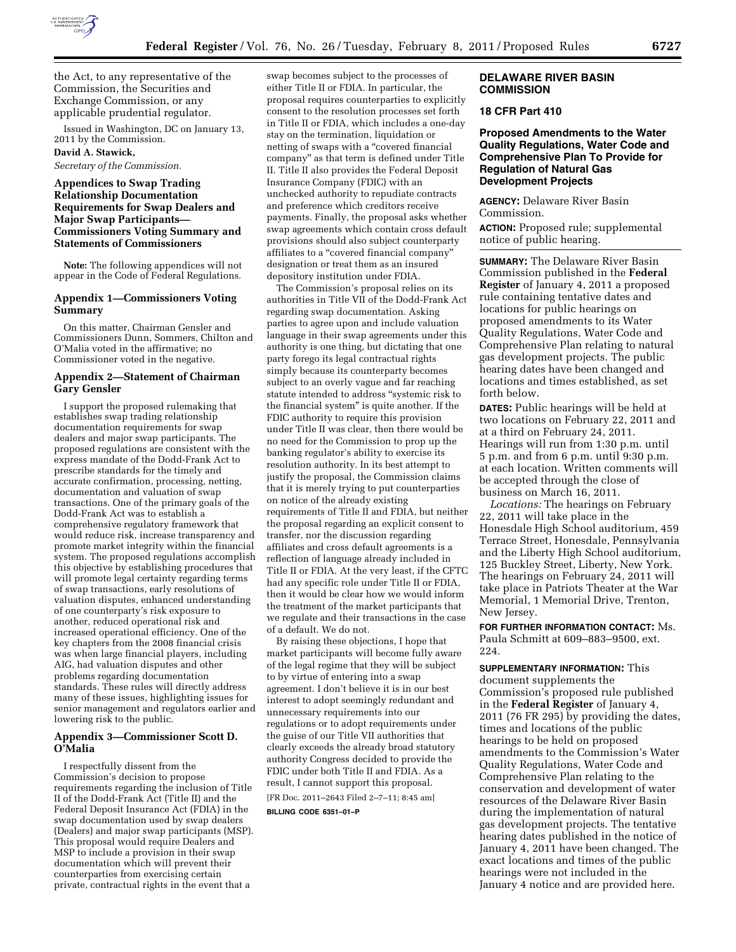

the Act, to any representative of the Commission, the Securities and Exchange Commission, or any applicable prudential regulator.

Issued in Washington, DC on January 13, 2011 by the Commission.

# **David A. Stawick,**

*Secretary of the Commission.* 

# **Appendices to Swap Trading Relationship Documentation Requirements for Swap Dealers and Major Swap Participants— Commissioners Voting Summary and Statements of Commissioners**

**Note:** The following appendices will not appear in the Code of Federal Regulations.

### **Appendix 1—Commissioners Voting Summary**

On this matter, Chairman Gensler and Commissioners Dunn, Sommers, Chilton and O'Malia voted in the affirmative; no Commissioner voted in the negative.

## **Appendix 2—Statement of Chairman Gary Gensler**

I support the proposed rulemaking that establishes swap trading relationship documentation requirements for swap dealers and major swap participants. The proposed regulations are consistent with the express mandate of the Dodd-Frank Act to prescribe standards for the timely and accurate confirmation, processing, netting, documentation and valuation of swap transactions. One of the primary goals of the Dodd-Frank Act was to establish a comprehensive regulatory framework that would reduce risk, increase transparency and promote market integrity within the financial system. The proposed regulations accomplish this objective by establishing procedures that will promote legal certainty regarding terms of swap transactions, early resolutions of valuation disputes, enhanced understanding of one counterparty's risk exposure to another, reduced operational risk and increased operational efficiency. One of the key chapters from the 2008 financial crisis was when large financial players, including AIG, had valuation disputes and other problems regarding documentation standards. These rules will directly address many of these issues, highlighting issues for senior management and regulators earlier and lowering risk to the public.

## **Appendix 3—Commissioner Scott D. O'Malia**

I respectfully dissent from the Commission's decision to propose requirements regarding the inclusion of Title II of the Dodd-Frank Act (Title II) and the Federal Deposit Insurance Act (FDIA) in the swap documentation used by swap dealers (Dealers) and major swap participants (MSP). This proposal would require Dealers and MSP to include a provision in their swap documentation which will prevent their counterparties from exercising certain private, contractual rights in the event that a

swap becomes subject to the processes of either Title II or FDIA. In particular, the proposal requires counterparties to explicitly consent to the resolution processes set forth in Title II or FDIA, which includes a one-day stay on the termination, liquidation or netting of swaps with a ''covered financial company'' as that term is defined under Title II. Title II also provides the Federal Deposit Insurance Company (FDIC) with an unchecked authority to repudiate contracts and preference which creditors receive payments. Finally, the proposal asks whether swap agreements which contain cross default provisions should also subject counterparty affiliates to a ''covered financial company'' designation or treat them as an insured depository institution under FDIA.

The Commission's proposal relies on its authorities in Title VII of the Dodd-Frank Act regarding swap documentation. Asking parties to agree upon and include valuation language in their swap agreements under this authority is one thing, but dictating that one party forego its legal contractual rights simply because its counterparty becomes subject to an overly vague and far reaching statute intended to address ''systemic risk to the financial system'' is quite another. If the FDIC authority to require this provision under Title II was clear, then there would be no need for the Commission to prop up the banking regulator's ability to exercise its resolution authority. In its best attempt to justify the proposal, the Commission claims that it is merely trying to put counterparties on notice of the already existing requirements of Title II and FDIA, but neither the proposal regarding an explicit consent to transfer, nor the discussion regarding affiliates and cross default agreements is a reflection of language already included in Title II or FDIA. At the very least, if the CFTC had any specific role under Title II or FDIA, then it would be clear how we would inform the treatment of the market participants that we regulate and their transactions in the case of a default. We do not.

By raising these objections, I hope that market participants will become fully aware of the legal regime that they will be subject to by virtue of entering into a swap agreement. I don't believe it is in our best interest to adopt seemingly redundant and unnecessary requirements into our regulations or to adopt requirements under the guise of our Title VII authorities that clearly exceeds the already broad statutory authority Congress decided to provide the FDIC under both Title II and FDIA. As a result, I cannot support this proposal.

[FR Doc. 2011–2643 Filed 2–7–11; 8:45 am]

**BILLING CODE 6351–01–P** 

### **DELAWARE RIVER BASIN COMMISSION**

# **18 CFR Part 410**

**Proposed Amendments to the Water Quality Regulations, Water Code and Comprehensive Plan To Provide for Regulation of Natural Gas Development Projects** 

**AGENCY:** Delaware River Basin Commission.

**ACTION:** Proposed rule; supplemental notice of public hearing.

**SUMMARY:** The Delaware River Basin Commission published in the **Federal Register** of January 4, 2011 a proposed rule containing tentative dates and locations for public hearings on proposed amendments to its Water Quality Regulations, Water Code and Comprehensive Plan relating to natural gas development projects. The public hearing dates have been changed and locations and times established, as set forth below.

**DATES:** Public hearings will be held at two locations on February 22, 2011 and at a third on February 24, 2011. Hearings will run from 1:30 p.m. until 5 p.m. and from 6 p.m. until 9:30 p.m. at each location. Written comments will be accepted through the close of business on March 16, 2011.

*Locations:* The hearings on February 22, 2011 will take place in the Honesdale High School auditorium, 459 Terrace Street, Honesdale, Pennsylvania and the Liberty High School auditorium, 125 Buckley Street, Liberty, New York. The hearings on February 24, 2011 will take place in Patriots Theater at the War Memorial, 1 Memorial Drive, Trenton, New Jersey.

**FOR FURTHER INFORMATION CONTACT:** Ms. Paula Schmitt at 609–883–9500, ext. 224.

**SUPPLEMENTARY INFORMATION:** This document supplements the Commission's proposed rule published in the **Federal Register** of January 4, 2011 (76 FR 295) by providing the dates, times and locations of the public hearings to be held on proposed amendments to the Commission's Water Quality Regulations, Water Code and Comprehensive Plan relating to the conservation and development of water resources of the Delaware River Basin during the implementation of natural gas development projects. The tentative hearing dates published in the notice of January 4, 2011 have been changed. The exact locations and times of the public hearings were not included in the January 4 notice and are provided here.